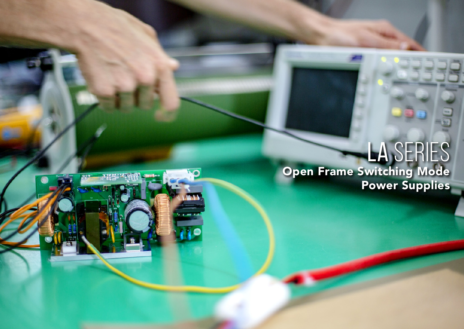

# LA SERIES Open Frame Switching Mode Power Supplies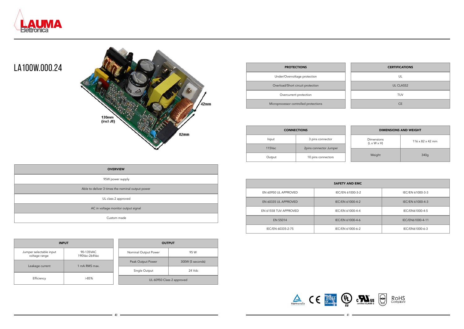

### LA100W.000.24



| <b>OVERVIEW</b>                                  |  |  |  |  |
|--------------------------------------------------|--|--|--|--|
| 95W power supply                                 |  |  |  |  |
| Able to deliver 3 times the nominal output power |  |  |  |  |
| UL class 2 approved                              |  |  |  |  |
| AC in voltage monitor output signal              |  |  |  |  |
| Custom made                                      |  |  |  |  |

| <b>INPUT</b>                             |                            |                   | <b>OUTPUT</b>             |        |  |
|------------------------------------------|----------------------------|-------------------|---------------------------|--------|--|
| Jumper selectable input<br>voltage range | 90-135VAC<br>190Vac-264Vac |                   | Nominal Output Power      | 95 W   |  |
|                                          |                            | Peak Output Power | 300W (5 seconds)          |        |  |
| Leakage current                          | 1 mA RMS max.              |                   | Single Output             | 24 Vdc |  |
| Efficiency<br>>85%                       |                            |                   | UL 60950 Class 2 approved |        |  |
|                                          |                            |                   |                           |        |  |

| <b>PROTECTIONS</b>          | <b>CERTIFICATIONS</b> |
|-----------------------------|-----------------------|
| Overvoltage protection      | UL                    |
| d/Short circuit protection  | <b>UL CLASS2</b>      |
| ercurrent protection        | <b>TUV</b>            |
| ssor controlled protections | <b>CE</b>             |







| <b>PROTECTIONS</b>                    | <b>CERTIFICATIC</b> |
|---------------------------------------|---------------------|
| Under/Overvoltage protection          | UL                  |
| Overload/Short circuit protection     | <b>UL CLASS2</b>    |
| Overcurrent protection                | <b>TUV</b>          |
| Microprocessor controlled protections | CE.                 |

| <b>SAFETY AND EMC</b> |                  |                  |  |  |  |  |
|-----------------------|------------------|------------------|--|--|--|--|
| EN 60950 UL APPROVED  | IEC/EN 61000-3-2 | IEC/EN 61000-3-3 |  |  |  |  |
| EN 60335 UL APPROVED  | IEC/EN 61000-4-2 | IEC/EN 61000-4-3 |  |  |  |  |
| EN 61558 TUV APPROVED | IEC/EN 61000-4-4 | IEC/EN61000-4-5  |  |  |  |  |
| EN 55014              | IEC/EN 61000-4-6 | IEC/EN61000-4-11 |  |  |  |  |
| IEC/EN 60335-2-75     | IEC/EN 61000-6-2 | IEC/EN61000-6-3  |  |  |  |  |



| <b>CONNECTIONS</b> |                        |  | <b>DIMENSIONS AND WEIGHT</b>                 |                              |  |
|--------------------|------------------------|--|----------------------------------------------|------------------------------|--|
| Input              | 3 pins connector       |  | <b>Dimensions</b><br>$(L \times W \times H)$ | $116 \times 82 \times 42$ mm |  |
| $115$ Vac          | 2pins connector Jumper |  |                                              |                              |  |
| Output             | 10 pins connectors     |  | Weight                                       | 340g                         |  |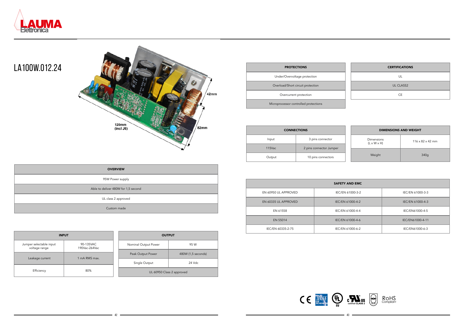



## LA100W.012.24

| <b>OVERVIEW</b>                     |  |  |  |
|-------------------------------------|--|--|--|
| 95W Power supply                    |  |  |  |
| Able to deliver 480W for 1,5 second |  |  |  |
| UL class 2 approved                 |  |  |  |
| Custom made                         |  |  |  |

|               | <b>INPUT</b>               | <b>OUTPUT</b>             |                    |  |  |
|---------------|----------------------------|---------------------------|--------------------|--|--|
|               | 90-135VAC<br>190Vac-264Vac | Nominal Output Power      | 95 W               |  |  |
|               |                            | Peak Output Power         | 480W (1,5 seconds) |  |  |
| 1 mA RMS max. | Single Output              | 24 Vdc                    |                    |  |  |
| 80%           |                            | UL 60950 Class 2 approved |                    |  |  |

| <b>INPUT</b>                             |                            |  |                      |
|------------------------------------------|----------------------------|--|----------------------|
| Jumper selectable input<br>voltage range | 90-135VAC<br>190Vac-264Vac |  | Nominal Output Power |
|                                          | 1 mA RMS max.<br>80%       |  | Peak Output Power    |
| Leakage current                          |                            |  | Single Output        |
| Efficiency                               |                            |  | UL 609!              |

| <b>PROTECTIONS</b>                    | <b>CERTIFICATIONS</b> |
|---------------------------------------|-----------------------|
| Under/Overvoltage protection          | UL                    |
| Overload/Short circuit protection     | <b>UL CLASS2</b>      |
| Overcurrent protection                | <b>CE</b>             |
| Microprocessor controlled protections |                       |

| <b>SAFETY AND EMC</b> |                  |                  |  |  |  |  |
|-----------------------|------------------|------------------|--|--|--|--|
| EN 60950 UL APPROVED  | IEC/EN 61000-3-2 | IEC/EN 61000-3-3 |  |  |  |  |
| EN 60335 UL APPROVED  | IEC/EN 61000-4-2 | IEC/EN 61000-4-3 |  |  |  |  |
| EN 61558              | IEC/EN 61000-4-4 | IEC/EN61000-4-5  |  |  |  |  |
| EN 55014              | IEC/EN 61000-4-6 | IEC/EN61000-4-11 |  |  |  |  |
| IEC/EN 60335-2-75     | IEC/EN 61000-6-2 | IEC/EN61000-6-3  |  |  |  |  |



| <b>CONNECTIONS</b> |                         |  | <b>DIMENSIONS AND WEIGHT</b>                 |                              |  |
|--------------------|-------------------------|--|----------------------------------------------|------------------------------|--|
| Input              | 3 pins connector        |  | <b>Dimensions</b><br>$(L \times W \times H)$ | $116 \times 82 \times 42$ mm |  |
| $115$ Vac          | 2 pins connector Jumper |  |                                              |                              |  |
| Output             | 10 pins connectors      |  | Weight                                       | 340g                         |  |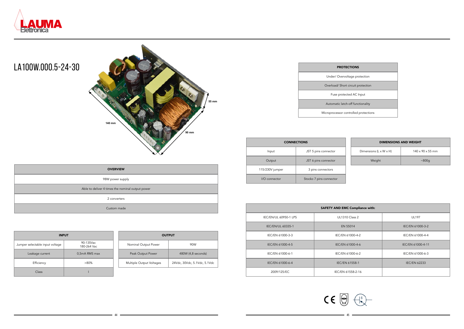44 45





### LA100W.000.5-24-30

| <b>OVERVIEW</b>                                  |
|--------------------------------------------------|
| 98W power supply                                 |
| Able to deliver 4 times the nominal output power |
| 2 converters                                     |
| Custom made                                      |

| <b>OUTPUT</b>            |                              |  |  |
|--------------------------|------------------------------|--|--|
| Nominal Output Power     | 90W                          |  |  |
| Peak Output Power        | 480W (4,8 seconds)           |  |  |
| Multiple Output Voltages | 24Vdc, 30Vdc, 5.1Vdc, 5.1Vdc |  |  |

| <b>INPUT</b>                    |                          |  |  |
|---------------------------------|--------------------------|--|--|
| Jumper selectable input voltage | 90-135Vac<br>180-264 Vac |  |  |
| Leakage current                 | 0,5mA RMS max            |  |  |
| Efficiency                      | $>80\%$                  |  |  |
| Class                           |                          |  |  |

| <b>PROTECTIONS</b>                    |
|---------------------------------------|
| Under/Overvoltage protection          |
| Overload/ Short circuit protection    |
| Fuse protected AC Input               |
| Automatic latch-off functionality     |
| Microprocessor controlled protections |

| <b>SAFETY AND EMC Compliance with:</b>         |                       |                     |  |  |  |
|------------------------------------------------|-----------------------|---------------------|--|--|--|
| IEC/EN/UL 60950-1 LPS<br><b>UL1310 Class 2</b> |                       | <b>UL197</b>        |  |  |  |
| IEC/EN/UL 60335-1                              | EN 55014              | IEC/EN 61000-3-2    |  |  |  |
| IEC/EN 61000-3-3                               | IEC/EN 61000-4-2      | IEC/EN 61000-4-4    |  |  |  |
| IEC/EN 61000-4-5                               | IEC/EN 61000-4-6      | IEC/EN 61000-4-11   |  |  |  |
| IEC/EN 61000-6-1                               | IEC/EN 61000-6-2      | IEC/EN 61000-6-3    |  |  |  |
| IEC/EN 61000-6-4                               | <b>IEC/EN 61558-1</b> | <b>IEC/EN 62233</b> |  |  |  |
| 2009/125/EC                                    | IEC/EN 61558-2-16     |                     |  |  |  |

| <b>CONNECTIONS</b>             |                         | <b>DIMENSIONS AND WEIGHT</b>       |                              |  |
|--------------------------------|-------------------------|------------------------------------|------------------------------|--|
| Input                          | JST 5 pins connector    | Dimensions $(L \times W \times H)$ | $140 \times 90 \times 55$ mm |  |
| Output<br>JST 6 pins connector |                         | Weight                             | ~800q                        |  |
| 115/230V jumper                | 3 pins connectors       |                                    |                              |  |
| I/O connector                  | Stocko 7 pins connector |                                    |                              |  |

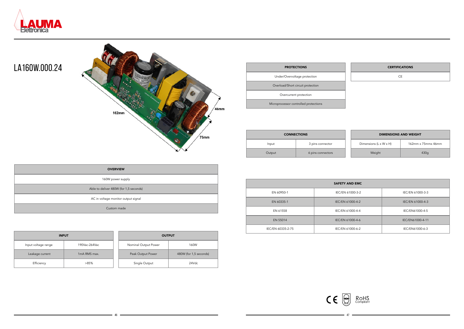

### LA160W.000.24



| <b>OVERVIEW</b>                        |
|----------------------------------------|
| 160W power supply                      |
| Able to deliver 480W (for 1,5 seconds) |
| AC in voltage monitor output signal    |
| Custom made                            |

| <b>INPUT</b>        |               |  | <b>OUTPUT</b>        |                        |
|---------------------|---------------|--|----------------------|------------------------|
| Input voltage range | 190Vac-264Vac |  | Nominal Output Power | 160W                   |
| Leakage current     | 1mA RMS max.  |  | Peak Output Power    | 480W (for 1,5 seconds) |
| Efficiency          | $>85\%$       |  | Single Output        | 24Vdc                  |

| <b>OUTPUT</b>        |                        |  |  |
|----------------------|------------------------|--|--|
| Nominal Output Power | 160W                   |  |  |
| Peak Output Power    | 480W (for 1,5 seconds) |  |  |
| Single Output        | 24Vdc                  |  |  |

| <b>PROTECTIONS</b>                    | <b>CERTIFICA</b> |
|---------------------------------------|------------------|
| Under/Overvoltage protection          | CΕ               |
| Overload/Short circuit protection     |                  |
| Overcurrent protection                |                  |
| Microprocessor controlled protections |                  |

| <b>SAFETY AND EMC</b> |                  |                  |  |  |  |
|-----------------------|------------------|------------------|--|--|--|
| EN 60950-1            | IEC/EN 61000-3-2 | IEC/EN 61000-3-3 |  |  |  |
| EN 60335-1            | IEC/EN 61000-4-2 | IEC/EN 61000-4-3 |  |  |  |
| EN 61558              | IEC/EN 61000-4-4 | IEC/EN61000-4-5  |  |  |  |
| EN 55014              | IEC/EN 61000-4-6 | IEC/EN61000-4-11 |  |  |  |
| IEC/EN 60335-2-75     | IEC/EN 61000-6-2 | IEC/EN61000-6-3  |  |  |  |



#### **CERTIFICATIONS**



| <b>CONNECTIONS</b> |                   |                                    | <b>DIMENSIONS AND WEIGHT</b> |
|--------------------|-------------------|------------------------------------|------------------------------|
| Input              | 3 pins connector  | Dimensions $(L \times W \times H)$ | $162$ mm x $75$ mmx $46$ mm  |
| Output             | 6 pins connectors | Weight                             | 430g                         |